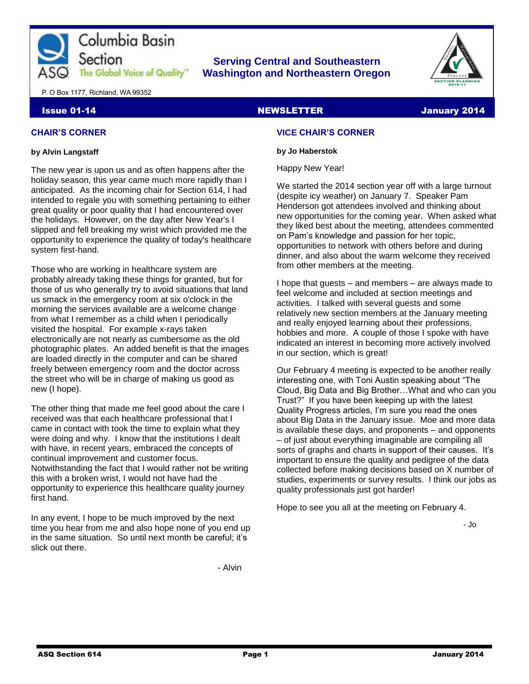

# **Serving Central and Southeastern The Global Voice of Quality | Washington and Northeastern Oregon**



P. O Box 1177, Richland, WA 99352

# Issue 01-14 **NEWSLETTER** School and the Second Memorial Second Memorial Second Memorial Second Memorial Second M

# **CHAIR'S CORNER**

# **by Alvin Langstaff**

The new year is upon us and as often happens after the holiday season, this year came much more rapidly than I anticipated. As the incoming chair for Section 614, I had intended to regale you with something pertaining to either great quality or poor quality that I had encountered over the holidays. However, on the day after New Year's I slipped and fell breaking my wrist which provided me the opportunity to experience the quality of today's healthcare system first-hand.

Those who are working in healthcare system are probably already taking these things for granted, but for those of us who generally try to avoid situations that land us smack in the emergency room at six o'clock in the morning the services available are a welcome change from what I remember as a child when I periodically visited the hospital. For example x-rays taken electronically are not nearly as cumbersome as the old photographic plates. An added benefit is that the images are loaded directly in the computer and can be shared freely between emergency room and the doctor across the street who will be in charge of making us good as new (I hope).

The other thing that made me feel good about the care I received was that each healthcare professional that I came in contact with took the time to explain what they were doing and why. I know that the institutions I dealt with have, in recent years, embraced the concepts of continual improvement and customer focus. Notwithstanding the fact that I would rather not be writing this with a broken wrist, I would not have had the opportunity to experience this healthcare quality journey first hand.

In any event, I hope to be much improved by the next time you hear from me and also hope none of you end up in the same situation. So until next month be careful; it's slick out there.

# **VICE CHAIR'S CORNER**

# **by Jo Haberstok**

Happy New Year!

We started the 2014 section year off with a large turnout (despite icy weather) on January 7. Speaker Pam Henderson got attendees involved and thinking about new opportunities for the coming year. When asked what they liked best about the meeting, attendees commented on Pam's knowledge and passion for her topic, opportunities to network with others before and during dinner, and also about the warm welcome they received from other members at the meeting.

I hope that guests – and members – are always made to feel welcome and included at section meetings and activities. I talked with several guests and some relatively new section members at the January meeting and really enjoyed learning about their professions, hobbies and more. A couple of those I spoke with have indicated an interest in becoming more actively involved in our section, which is great!

Our February 4 meeting is expected to be another really interesting one, with Toni Austin speaking about "The Cloud, Big Data and Big Brother…What and who can you Trust?" If you have been keeping up with the latest Quality Progress articles, I'm sure you read the ones about Big Data in the January issue. Moe and more data is available these days, and proponents – and opponents – of just about everything imaginable are compiling all sorts of graphs and charts in support of their causes. It's important to ensure the quality and pedigree of the data collected before making decisions based on X number of studies, experiments or survey results. I think our jobs as quality professionals just got harder!

Hope to see you all at the meeting on February 4.

- Jo

- Alvin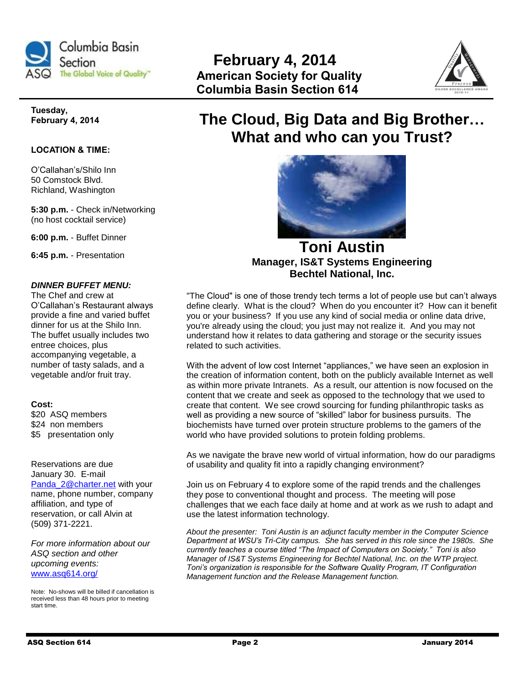



**Tuesday, February 4, 2014**

# **LOCATION & TIME:**

O'Callahan's/Shilo Inn 50 Comstock Blvd. Richland, Washington

**5:30 p.m.** - Check in/Networking (no host cocktail service)

**6:00 p.m.** - Buffet Dinner

**6:45 p.m.** - Presentation

# *DINNER BUFFET MENU:*

The Chef and crew at O'Callahan's Restaurant always provide a fine and varied buffet dinner for us at the Shilo Inn. The buffet usually includes two entree choices, plus accompanying vegetable, a number of tasty salads, and a vegetable and/or fruit tray.

## **Cost:**

\$20 ASQ members \$24 non members \$5 presentation only

Reservations are due January 30. E-mail [Panda\\_2@charter.net](mailto:Panda_2@charter.net) with your name, phone number, company affiliation, and type of reservation, or call Alvin at (509) 371-2221.

*For more information about our ASQ section and other upcoming events:*  [www.asq614.org/](http://www.asq614.org/)

Note: No-shows will be billed if cancellation is received less than 48 hours prior to meeting start time.

# **The Cloud, Big Data and Big Brother… What and who can you Trust?**



**Toni Austin Manager, IS&T Systems Engineering Bechtel National, Inc.**

"The Cloud" is one of those trendy tech terms a lot of people use but can't always define clearly. What is the cloud? When do you encounter it? How can it benefit you or your business? If you use any kind of social media or online data drive, you're already using the cloud; you just may not realize it. And you may not understand how it relates to data gathering and storage or the security issues related to such activities.

With the advent of low cost Internet "appliances," we have seen an explosion in the creation of information content, both on the publicly available Internet as well as within more private Intranets. As a result, our attention is now focused on the content that we create and seek as opposed to the technology that we used to create that content. We see crowd sourcing for funding philanthropic tasks as well as providing a new source of "skilled" labor for business pursuits. The biochemists have turned over protein structure problems to the gamers of the world who have provided solutions to protein folding problems.

As we navigate the brave new world of virtual information, how do our paradigms of usability and quality fit into a rapidly changing environment?

Join us on February 4 to explore some of the rapid trends and the challenges they pose to conventional thought and process. The meeting will pose challenges that we each face daily at home and at work as we rush to adapt and use the latest information technology.

*About the presenter: Toni Austin is an adjunct faculty member in the Computer Science Department at WSU's Tri-City campus. She has served in this role since the 1980s. She currently teaches a course titled "The Impact of Computers on Society." Toni is also Manager of IS&T Systems Engineering for Bechtel National, Inc. on the WTP project. Toni's organization is responsible for the Software Quality Program, IT Configuration Management function and the Release Management function.*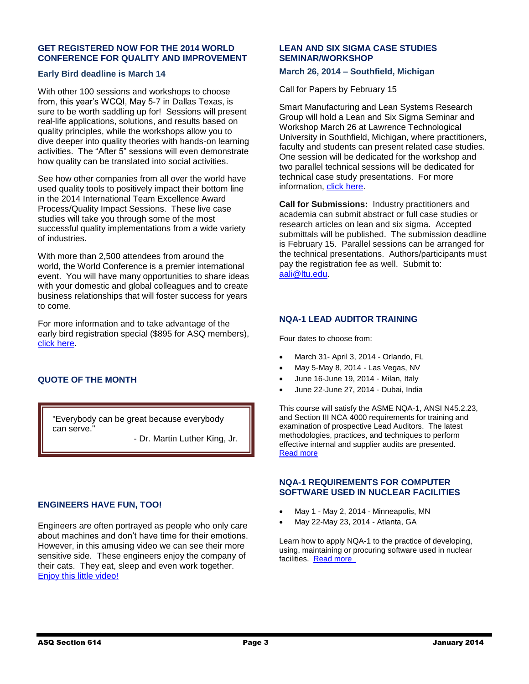# **GET REGISTERED NOW FOR THE 2014 WORLD CONFERENCE FOR QUALITY AND IMPROVEMENT**

# **Early Bird deadline is March 14**

With other 100 sessions and workshops to choose from, this year's WCQI, May 5-7 in Dallas Texas, is sure to be worth saddling up for! Sessions will present real-life applications, solutions, and results based on quality principles, while the workshops allow you to dive deeper into quality theories with hands-on learning activities. The "After 5" sessions will even demonstrate how quality can be translated into social activities.

See how other companies from all over the world have used quality tools to positively impact their bottom line in the 2014 International Team Excellence Award Process/Quality Impact Sessions. These live case studies will take you through some of the most successful quality implementations from a wide variety of industries.

With more than 2,500 attendees from around the world, the World Conference is a premier international event. You will have many opportunities to share ideas with your domestic and global colleagues and to create business relationships that will foster success for years to come.

For more information and to take advantage of the early bird registration special (\$895 for ASQ members), [click here.](http://wcqi.asq.org/about.html)

# **QUOTE OF THE MONTH**

"Everybody can be great because everybody can serve."

- Dr. Martin Luther King, Jr.

# **ENGINEERS HAVE FUN, TOO!**

l.

Engineers are often portrayed as people who only care about machines and don't have time for their emotions. However, in this amusing video we can see their more sensitive side. These engineers enjoy the company of their cats. They eat, sleep and even work together. Enjoy [this little video!](http://www.edisproduction.de/2013/12/24/an-engineers-guide-to-cats/)

# **LEAN AND SIX SIGMA CASE STUDIES SEMINAR/WORKSHOP**

# **March 26, 2014 – Southfield, Michigan**

Call for Papers by February 15

Smart Manufacturing and Lean Systems Research Group will hold a Lean and Six Sigma Seminar and Workshop March 26 at Lawrence Technological University in Southfield, Michigan, where practitioners, faculty and students can present related case studies. One session will be dedicated for the workshop and two parallel technical sessions will be dedicated for technical case study presentations. For more information, [click here.](http://www.ltu.edu/engineering/leansixsigma.asp)

**Call for Submissions:** Industry practitioners and academia can submit abstract or full case studies or research articles on lean and six sigma. Accepted submittals will be published. The submission deadline is February 15. Parallel sessions can be arranged for the technical presentations. Authors/participants must pay the registration fee as well. Submit to: [aali@ltu.edu.](mailto:aali@ltu.edu)

# **NQA-1 LEAD AUDITOR TRAINING**

Four dates to choose from:

- March 31- April 3, 2014 Orlando, FL
- May 5-May 8, 2014 Las Vegas, NV
- June 16-June 19, 2014 Milan, Italy
- June 22-June 27, 2014 Dubai, India

This course will satisfy the ASME NQA-1, ANSI N45.2.23, and Section III NCA 4000 requirements for training and examination of prospective Lead Auditors. The latest methodologies, practices, and techniques to perform effective internal and supplier audits are presented. [Read more](http://r20.rs6.net/tn.jsp?f=0015cmZeEbd3c4nP2U-wozfD9wxkMLrkHhJJix8hw-Z6Sn9MIqEaTxvawFFFmxIpscslUSWEvnCQ-8dEebuwEGvyeH4hNjoHHrS8TPcj_oOJZ7fdFegC15iRMV42W6xVu3epnMi10FS1RRXwkPLf1onb7YBVx9dUSRT_5Av4VB098mabg1rmjerbAaBeZlTtN7B7o1jWeoHYOE2kOezW4RImMwTTJOikjvP0PSOy8GtowI=&c=cKxDc-0btldd3-kYaLYMddXWIXztZpcRHjVlRxhHXzPYQlVCDgZt1g==&ch=6CcWrMJ8DBKyt1ejMmu_EvfSlBYFEaOJaQxwkMw9H2a00LhmbzkKTw==) 

# **NQA-1 REQUIREMENTS FOR COMPUTER SOFTWARE USED IN NUCLEAR FACILITIES**

- May 1 May 2, 2014 Minneapolis, MN
- May 22-May 23, 2014 Atlanta, GA

Learn how to apply NQA-1 to the practice of developing, using, maintaining or procuring software used in nuclear facilities. Read [more](http://r20.rs6.net/tn.jsp?f=0015cmZeEbd3c4nP2U-wozfD9wxkMLrkHhJJix8hw-Z6Sn9MIqEaTxva03_OxFTbJtCO0Pw40dKWZNZsGBUAhXUl93qUsMLXlMVhKsb4e90_IOyClWnWgEBiAUy5kkabxhWBY_yJ8l5jIE53jMSam9vYqtfqa1wtHu1ibH3B9m6oNhB0lFgoQiVKWiWNCcqf4BR6vcRO72V45cpckQrRMnSQ9WwFdW4oE3NH7lpJyLjrBL5CX6kCeRzBeSAyLVmw5KQCfHP8Bsl__M=&c=cKxDc-0btldd3-kYaLYMddXWIXztZpcRHjVlRxhHXzPYQlVCDgZt1g==&ch=6CcWrMJ8DBKyt1ejMmu_EvfSlBYFEaOJaQxwkMw9H2a00LhmbzkKTw==)